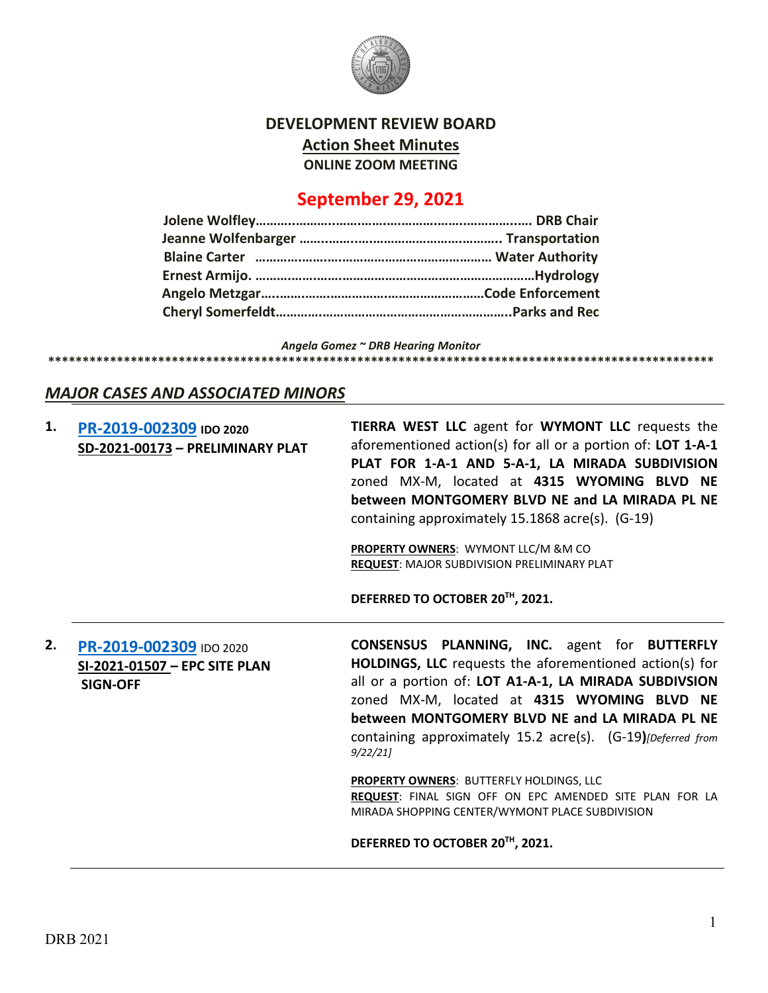

## **DEVELOPMENT REVIEW BOARD Action Sheet Minutes ONLINE ZOOM MEETING**

# **September 29, 2021**

*Angela Gomez ~ DRB Hearing Monitor* **\*\*\*\*\*\*\*\*\*\*\*\*\*\*\*\*\*\*\*\*\*\*\*\*\*\*\*\*\*\*\*\*\*\*\*\*\*\*\*\*\*\*\*\*\*\*\*\*\*\*\*\*\*\*\*\*\*\*\*\*\*\*\*\*\*\*\*\*\*\*\*\*\*\*\*\*\*\*\*\*\*\*\*\*\*\*\*\*\*\*\*\*\*\*\*\*\***

#### *MAJOR CASES AND ASSOCIATED MINORS*

|                                                                             | PROPERTY OWNERS: BUTTERFLY HOLDINGS, LLC<br>REQUEST: FINAL SIGN OFF ON EPC AMENDED SITE PLAN FOR LA<br>MIRADA SHOPPING CENTER/WYMONT PLACE SUBDIVISION                                                                                                                                                                                                     |
|-----------------------------------------------------------------------------|------------------------------------------------------------------------------------------------------------------------------------------------------------------------------------------------------------------------------------------------------------------------------------------------------------------------------------------------------------|
| PR-2019-002309 IDO 2020<br>SI-2021-01507 - EPC SITE PLAN<br><b>SIGN-OFF</b> | <b>CONSENSUS PLANNING, INC.</b> agent for <b>BUTTERFLY</b><br>HOLDINGS, LLC requests the aforementioned action(s) for<br>all or a portion of: LOT A1-A-1, LA MIRADA SUBDIVSION<br>zoned MX-M, located at 4315 WYOMING BLVD NE<br>between MONTGOMERY BLVD NE and LA MIRADA PL NE<br>containing approximately 15.2 acre(s). (G-19) [Deferred from<br>9/22/21 |
|                                                                             | DEFERRED TO OCTOBER 20TH, 2021.                                                                                                                                                                                                                                                                                                                            |
|                                                                             | PROPERTY OWNERS: WYMONT LLC/M &M CO<br><b>REQUEST: MAJOR SUBDIVISION PRELIMINARY PLAT</b>                                                                                                                                                                                                                                                                  |
| SD-2021-00173 - PRELIMINARY PLAT                                            | TIERRA WEST LLC agent for WYMONT LLC requests the<br>aforementioned action(s) for all or a portion of: LOT 1-A-1<br>PLAT FOR 1-A-1 AND 5-A-1, LA MIRADA SUBDIVISION<br>zoned MX-M, located at 4315 WYOMING BLVD NE<br>between MONTGOMERY BLVD NE and LA MIRADA PL NE<br>containing approximately 15.1868 acre(s). (G-19)                                   |
|                                                                             | PR-2019-002309 IDO 2020                                                                                                                                                                                                                                                                                                                                    |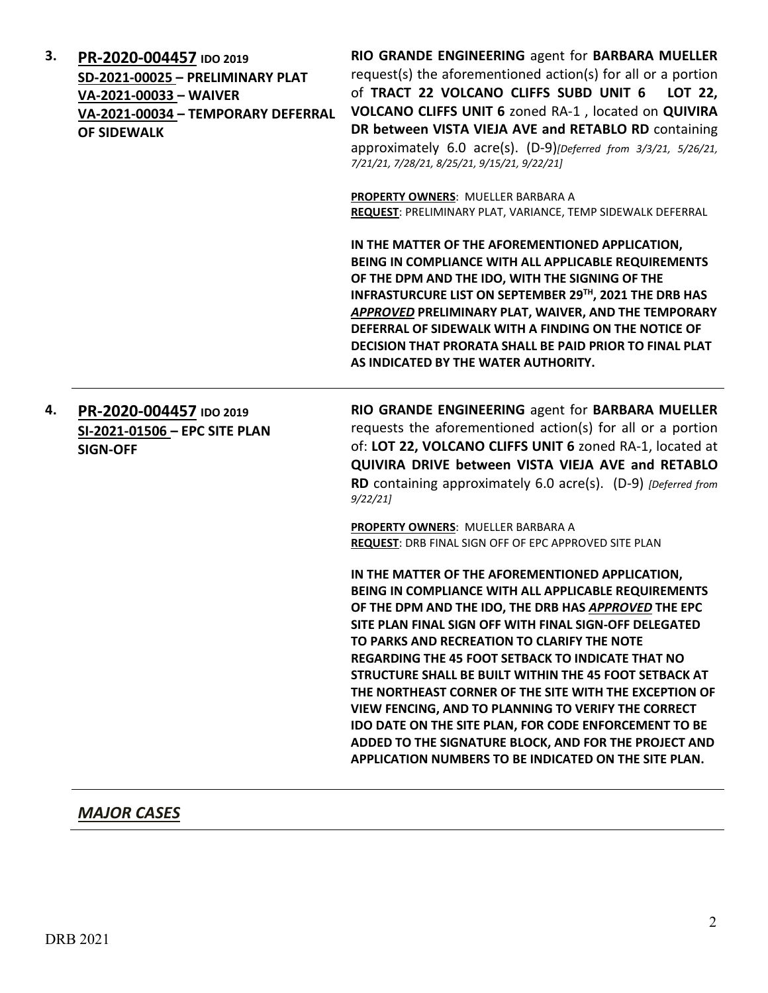| 3. | PR-2020-004457 IDO 2019<br>SD-2021-00025 - PRELIMINARY PLAT<br>VA-2021-00033 - WAIVER<br>VA-2021-00034 - TEMPORARY DEFERRAL<br><b>OF SIDEWALK</b> | RIO GRANDE ENGINEERING agent for BARBARA MUELLER<br>request(s) the aforementioned action(s) for all or a portion<br>of TRACT 22 VOLCANO CLIFFS SUBD UNIT 6<br>LOT 22,<br>VOLCANO CLIFFS UNIT 6 zoned RA-1, located on QUIVIRA<br>DR between VISTA VIEJA AVE and RETABLO RD containing<br>approximately 6.0 acre(s). (D-9)[Deferred from 3/3/21, 5/26/21,<br>7/21/21, 7/28/21, 8/25/21, 9/15/21, 9/22/21]                                                                                                                                                                                                                                                                             |
|----|---------------------------------------------------------------------------------------------------------------------------------------------------|--------------------------------------------------------------------------------------------------------------------------------------------------------------------------------------------------------------------------------------------------------------------------------------------------------------------------------------------------------------------------------------------------------------------------------------------------------------------------------------------------------------------------------------------------------------------------------------------------------------------------------------------------------------------------------------|
|    |                                                                                                                                                   | PROPERTY OWNERS: MUELLER BARBARA A<br>REQUEST: PRELIMINARY PLAT, VARIANCE, TEMP SIDEWALK DEFERRAL                                                                                                                                                                                                                                                                                                                                                                                                                                                                                                                                                                                    |
|    |                                                                                                                                                   | IN THE MATTER OF THE AFOREMENTIONED APPLICATION,<br>BEING IN COMPLIANCE WITH ALL APPLICABLE REQUIREMENTS<br>OF THE DPM AND THE IDO, WITH THE SIGNING OF THE<br>INFRASTURCURE LIST ON SEPTEMBER 29TH, 2021 THE DRB HAS<br>APPROVED PRELIMINARY PLAT, WAIVER, AND THE TEMPORARY<br>DEFERRAL OF SIDEWALK WITH A FINDING ON THE NOTICE OF<br>DECISION THAT PRORATA SHALL BE PAID PRIOR TO FINAL PLAT<br>AS INDICATED BY THE WATER AUTHORITY.                                                                                                                                                                                                                                             |
| 4. | PR-2020-004457 IDO 2019<br>SI-2021-01506 - EPC SITE PLAN<br><b>SIGN-OFF</b>                                                                       | RIO GRANDE ENGINEERING agent for BARBARA MUELLER<br>requests the aforementioned action(s) for all or a portion<br>of: LOT 22, VOLCANO CLIFFS UNIT 6 zoned RA-1, located at<br>QUIVIRA DRIVE between VISTA VIEJA AVE and RETABLO<br>RD containing approximately 6.0 acre(s). (D-9) [Deferred from<br>9/22/21                                                                                                                                                                                                                                                                                                                                                                          |
|    |                                                                                                                                                   | PROPERTY OWNERS: MUELLER BARBARA A<br>REQUEST: DRB FINAL SIGN OFF OF EPC APPROVED SITE PLAN                                                                                                                                                                                                                                                                                                                                                                                                                                                                                                                                                                                          |
|    |                                                                                                                                                   | IN THE MATTER OF THE AFOREMENTIONED APPLICATION,<br>BEING IN COMPLIANCE WITH ALL APPLICABLE REQUIREMENTS<br>OF THE DPM AND THE IDO, THE DRB HAS APPROVED THE EPC<br>SITE PLAN FINAL SIGN OFF WITH FINAL SIGN-OFF DELEGATED<br>TO PARKS AND RECREATION TO CLARIFY THE NOTE<br>REGARDING THE 45 FOOT SETBACK TO INDICATE THAT NO<br>STRUCTURE SHALL BE BUILT WITHIN THE 45 FOOT SETBACK AT<br>THE NORTHEAST CORNER OF THE SITE WITH THE EXCEPTION OF<br>VIEW FENCING, AND TO PLANNING TO VERIFY THE CORRECT<br>IDO DATE ON THE SITE PLAN, FOR CODE ENFORCEMENT TO BE<br>ADDED TO THE SIGNATURE BLOCK, AND FOR THE PROJECT AND<br>APPLICATION NUMBERS TO BE INDICATED ON THE SITE PLAN. |

## *MAJOR CASES*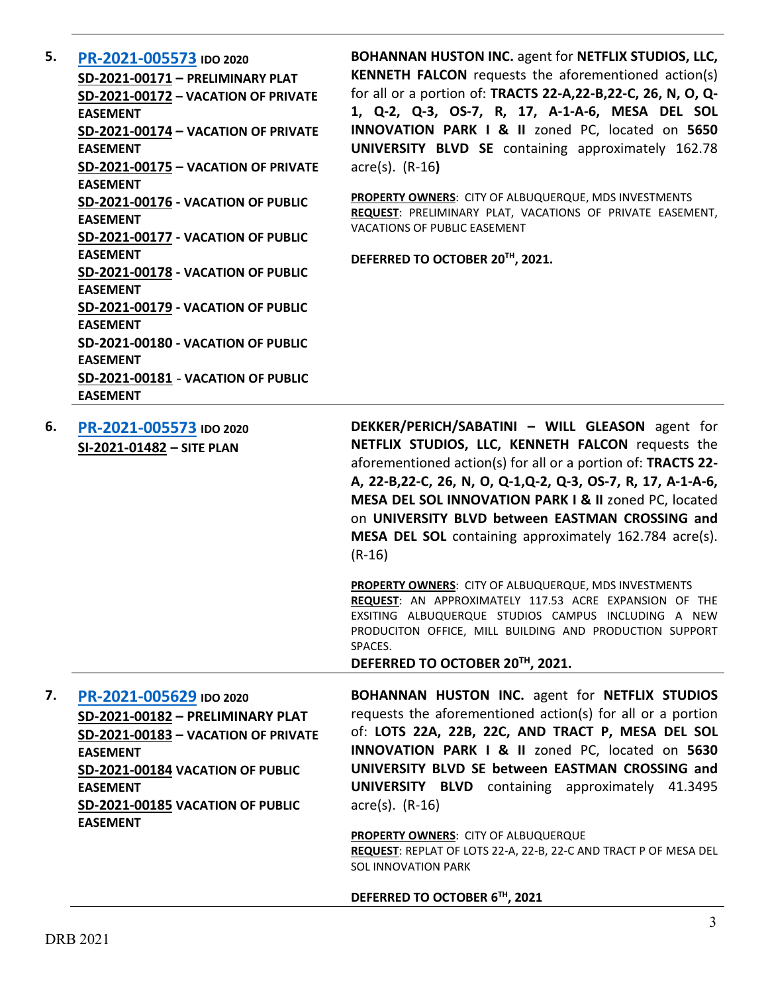**5. [PR-2021-005573](http://data.cabq.gov/government/planning/DRB/PR-2021-005573/DRB%20Submittals/PR-2021-005573_Sept_29_2021%20(PP,%20Site%20P.,%20VPRE%20x3,%20VPE%20x6)/Application/Bohannan%20Huston%20(Site%20Plan)/) IDO 2020 SD-2021-00171 – PRELIMINARY PLAT SD-2021-00172 – VACATION OF PRIVATE EASEMENT SD-2021-00174 – VACATION OF PRIVATE EASEMENT SD-2021-00175 – VACATION OF PRIVATE EASEMENT SD-2021-00176 - VACATION OF PUBLIC EASEMENT SD-2021-00177 - VACATION OF PUBLIC EASEMENT SD-2021-00178 - VACATION OF PUBLIC EASEMENT SD-2021-00179 - VACATION OF PUBLIC EASEMENT SD-2021-00180 - VACATION OF PUBLIC EASEMENT SD-2021-00181** - **VACATION OF PUBLIC EASEMENT**

**BOHANNAN HUSTON INC.** agent for **NETFLIX STUDIOS, LLC, KENNETH FALCON** requests the aforementioned action(s) for all or a portion of: **TRACTS 22-A,22-B,22-C, 26, N, O, Q-1, Q-2, Q-3, OS-7, R, 17, A-1-A-6, MESA DEL SOL INNOVATION PARK I & II** zoned PC, located on **5650 UNIVERSITY BLVD SE** containing approximately 162.78 acre(s). (R-16**)**

**PROPERTY OWNERS**: CITY OF ALBUQUERQUE, MDS INVESTMENTS **REQUEST**: PRELIMINARY PLAT, VACATIONS OF PRIVATE EASEMENT, VACATIONS OF PUBLIC EASEMENT

**DEFERRED TO OCTOBER 20TH, 2021.**

**6. [PR-2021-005573](http://data.cabq.gov/government/planning/DRB/PR-2021-005573/DRB%20Submittals/PR-2021-005573_Sept_29_2021%20(PP,%20Site%20P.,%20VPRE%20x3,%20VPE%20x6)/Application/Dekker_Perich_Sabatini%20(PP,%20VPRE%20x3,%20VPE%20x6)/Albuquerque%20Studios%20Expansion%20-%20DRB%20East%20Submittal%209.3.2021.pdf) IDO 2020 SI-2021-01482 – SITE PLAN DEKKER/PERICH/SABATINI – WILL GLEASON** agent for **NETFLIX STUDIOS, LLC, KENNETH FALCON** requests the aforementioned action(s) for all or a portion of: **TRACTS 22- A, 22-B,22-C, 26, N, O, Q-1,Q-2, Q-3, OS-7, R, 17, A-1-A-6, MESA DEL SOL INNOVATION PARK I & II** zoned PC, located on **UNIVERSITY BLVD between EASTMAN CROSSING and MESA DEL SOL** containing approximately 162.784 acre(s). (R-16) **PROPERTY OWNERS**: CITY OF ALBUQUERQUE, MDS INVESTMENTS **REQUEST**: AN APPROXIMATELY 117.53 ACRE EXPANSION OF THE EXSITING ALBUQUERQUE STUDIOS CAMPUS INCLUDING A NEW PRODUCITON OFFICE, MILL BUILDING AND PRODUCTION SUPPORT SPACES.

**DEFERRED TO OCTOBER 20TH, 2021.**

**7. [PR-2021-005629](http://data.cabq.gov/government/planning/DRB/PR-2021-005629/DRB%20Submittals/PR-2021-005629_Sept_29_2021%20(PP,%20VPRE,%20VPE%20x2,%20Site%20P.)/Application/Bohannan%20Huston%20(PP,%20VPRE,%20VPE)/) IDO 2020 SD-2021-00182 – PRELIMINARY PLAT SD-2021-00183 – VACATION OF PRIVATE EASEMENT SD-2021-00184 VACATION OF PUBLIC EASEMENT SD-2021-00185 VACATION OF PUBLIC EASEMENT**

**BOHANNAN HUSTON INC.** agent for **NETFLIX STUDIOS** requests the aforementioned action(s) for all or a portion of: **LOTS 22A, 22B, 22C, AND TRACT P, MESA DEL SOL INNOVATION PARK I & II** zoned PC, located on **5630 UNIVERSITY BLVD SE between EASTMAN CROSSING and UNIVERSITY BLVD** containing approximately 41.3495 acre(s). (R-16)

**PROPERTY OWNERS**: CITY OF ALBUQUERQUE **REQUEST**: REPLAT OF LOTS 22-A, 22-B, 22-C AND TRACT P OF MESA DEL SOL INNOVATION PARK

**DEFERRED TO OCTOBER 6TH, 2021**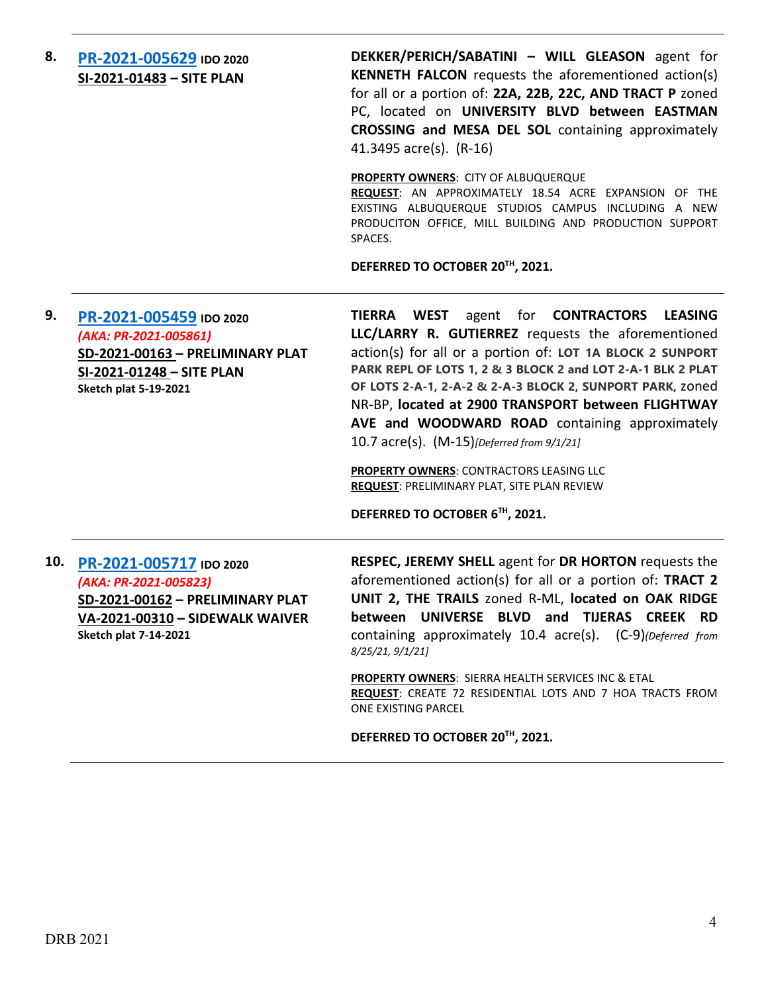**8. [PR-2021-005629](http://data.cabq.gov/government/planning/DRB/PR-2021-005629/DRB%20Submittals/PR-2021-005629_Sept_29_2021%20(PP,%20VPRE,%20VPE%20x2,%20Site%20P.)/Application/Dekker_Perich_Sabatini%20(Site%20Plan)/Albuquerque%20Studios%20Expansion%20-%20DRB%20North%20Submittal%209.3.2021.pdf) IDO 2020 SI-2021-01483 – SITE PLAN DEKKER/PERICH/SABATINI – WILL GLEASON** agent for **KENNETH FALCON** requests the aforementioned action(s) for all or a portion of: **22A, 22B, 22C, AND TRACT P** zoned PC, located on **UNIVERSITY BLVD between EASTMAN CROSSING and MESA DEL SOL** containing approximately 41.3495 acre(s). (R-16) **PROPERTY OWNERS**: CITY OF ALBUQUERQUE **REQUEST**: AN APPROXIMATELY 18.54 ACRE EXPANSION OF THE EXISTING ALBUQUERQUE STUDIOS CAMPUS INCLUDING A NEW PRODUCITON OFFICE, MILL BUILDING AND PRODUCTION SUPPORT SPACES. **DEFERRED TO OCTOBER 20TH, 2021. 9. [PR-2021-005459](http://data.cabq.gov/government/planning/DRB/PR-2021-005459/DRB%20Submittals/) IDO 2020** *(AKA: PR-2021-005861)* **TIERRA WEST** agent for **CONTRACTORS LEASING LLC/LARRY R. GUTIERREZ** requests the aforementioned

**SD-2021-00163 – PRELIMINARY PLAT SI-2021-01248 – SITE PLAN Sketch plat 5-19-2021**

action(s) for all or a portion of: **LOT 1A BLOCK 2 SUNPORT PARK REPL OF LOTS 1, 2 & 3 BLOCK 2 and LOT 2-A-1 BLK 2 PLAT OF LOTS 2-A-1, 2-A-2 & 2-A-3 BLOCK 2, SUNPORT PARK,** zoned NR-BP, **located at 2900 TRANSPORT between FLIGHTWAY AVE and WOODWARD ROAD** containing approximately 10.7 acre(s). (M-15)*[Deferred from 9/1/21]*

**PROPERTY OWNERS**: CONTRACTORS LEASING LLC **REQUEST**: PRELIMINARY PLAT, SITE PLAN REVIEW

**DEFERRED TO OCTOBER 6TH, 2021.**

**10. [PR-2021-005717](http://data.cabq.gov/government/planning/DRB/PR-2021-005717/DRB%20Submittals/) IDO 2020** *(AKA: PR-2021-005823)* **SD-2021-00162 – PRELIMINARY PLAT VA-2021-00310 – SIDEWALK WAIVER Sketch plat 7-14-2021**

**RESPEC, JEREMY SHELL** agent for **DR HORTON** requests the aforementioned action(s) for all or a portion of: **TRACT 2 UNIT 2, THE TRAILS** zoned R-ML, **located on OAK RIDGE between UNIVERSE BLVD and TIJERAS CREEK RD** containing approximately 10.4 acre(s). (C-9)*(Deferred from 8/25/21, 9/1/21]*

**PROPERTY OWNERS**: SIERRA HEALTH SERVICES INC & ETAL **REQUEST**: CREATE 72 RESIDENTIAL LOTS AND 7 HOA TRACTS FROM ONE EXISTING PARCEL

**DEFERRED TO OCTOBER 20TH, 2021.**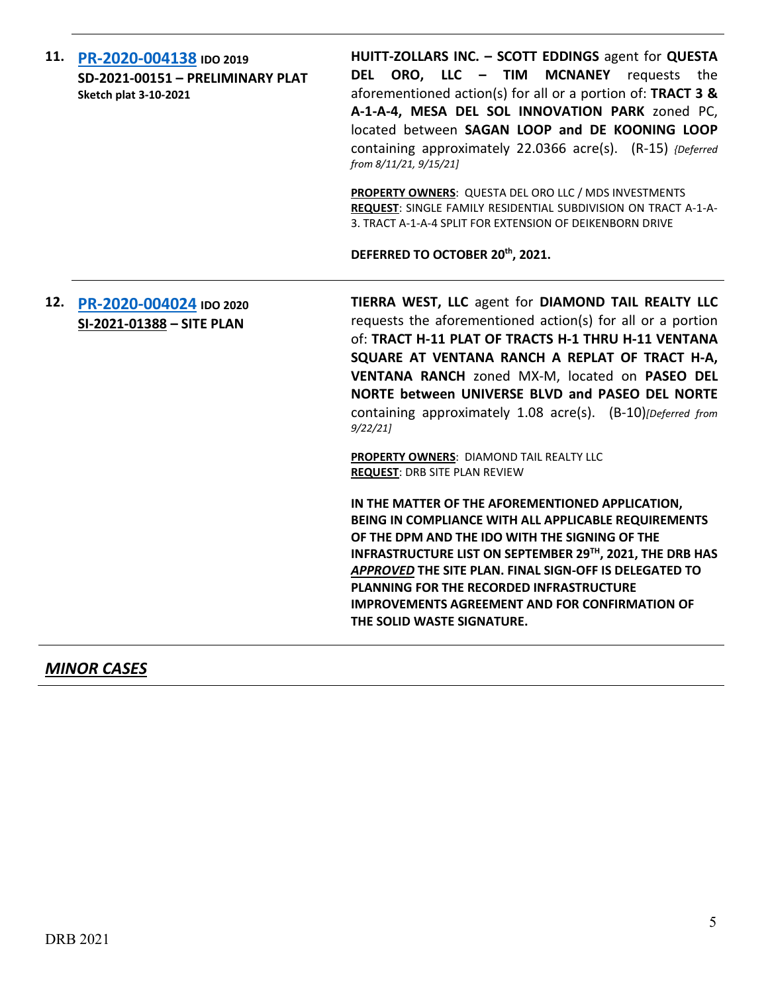| 11. PR-2020-004138 IDO 2019<br>SD-2021-00151 - PRELIMINARY PLAT<br><b>Sketch plat 3-10-2021</b> | HUITT-ZOLLARS INC. - SCOTT EDDINGS agent for QUESTA<br>ORO, LLC - TIM MCNANEY requests<br><b>DEL</b><br>the<br>aforementioned action(s) for all or a portion of: TRACT 3 &<br>A-1-A-4, MESA DEL SOL INNOVATION PARK zoned PC,<br>located between SAGAN LOOP and DE KOONING LOOP<br>containing approximately 22.0366 acre(s). (R-15) {Deferred<br>from 8/11/21, 9/15/21]<br>PROPERTY OWNERS: QUESTA DEL ORO LLC / MDS INVESTMENTS<br>REQUEST: SINGLE FAMILY RESIDENTIAL SUBDIVISION ON TRACT A-1-A-<br>3. TRACT A-1-A-4 SPLIT FOR EXTENSION OF DEIKENBORN DRIVE<br>DEFERRED TO OCTOBER 20th, 2021.                                                                                                                                                                                                                                                                                                                   |
|-------------------------------------------------------------------------------------------------|---------------------------------------------------------------------------------------------------------------------------------------------------------------------------------------------------------------------------------------------------------------------------------------------------------------------------------------------------------------------------------------------------------------------------------------------------------------------------------------------------------------------------------------------------------------------------------------------------------------------------------------------------------------------------------------------------------------------------------------------------------------------------------------------------------------------------------------------------------------------------------------------------------------------|
| 12. PR-2020-004024 IDO 2020<br>SI-2021-01388 - SITE PLAN                                        | TIERRA WEST, LLC agent for DIAMOND TAIL REALTY LLC<br>requests the aforementioned action(s) for all or a portion<br>of: TRACT H-11 PLAT OF TRACTS H-1 THRU H-11 VENTANA<br>SQUARE AT VENTANA RANCH A REPLAT OF TRACT H-A,<br>VENTANA RANCH zoned MX-M, located on PASEO DEL<br>NORTE between UNIVERSE BLVD and PASEO DEL NORTE<br>containing approximately 1.08 acre(s). (B-10)[Deferred from<br>9/22/21<br>PROPERTY OWNERS: DIAMOND TAIL REALTY LLC<br><b>REQUEST: DRB SITE PLAN REVIEW</b><br>IN THE MATTER OF THE AFOREMENTIONED APPLICATION,<br>BEING IN COMPLIANCE WITH ALL APPLICABLE REQUIREMENTS<br>OF THE DPM AND THE IDO WITH THE SIGNING OF THE<br>INFRASTRUCTURE LIST ON SEPTEMBER 29TH, 2021, THE DRB HAS<br>APPROVED THE SITE PLAN. FINAL SIGN-OFF IS DELEGATED TO<br>PLANNING FOR THE RECORDED INFRASTRUCTURE<br><b>IMPROVEMENTS AGREEMENT AND FOR CONFIRMATION OF</b><br>THE SOLID WASTE SIGNATURE. |

# *MINOR CASES*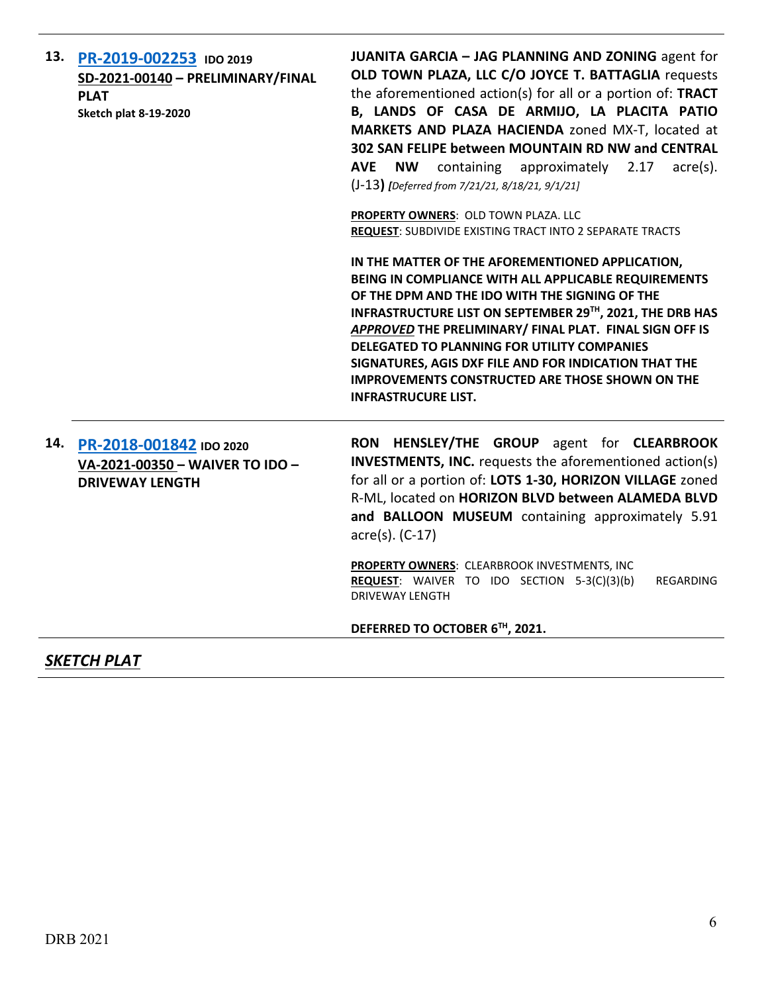| 13. | PR-2019-002253 IDO 2019<br>SD-2021-00140 - PRELIMINARY/FINAL<br><b>PLAT</b><br><b>Sketch plat 8-19-2020</b> | <b>JUANITA GARCIA - JAG PLANNING AND ZONING agent for</b><br>OLD TOWN PLAZA, LLC C/O JOYCE T. BATTAGLIA requests<br>the aforementioned action(s) for all or a portion of: TRACT<br>B, LANDS OF CASA DE ARMIJO, LA PLACITA PATIO<br>MARKETS AND PLAZA HACIENDA zoned MX-T, located at<br>302 SAN FELIPE between MOUNTAIN RD NW and CENTRAL<br>NW containing approximately 2.17<br>$acre(s)$ .<br><b>AVE</b><br>(J-13) [Deferred from 7/21/21, 8/18/21, 9/1/21]                     |
|-----|-------------------------------------------------------------------------------------------------------------|-----------------------------------------------------------------------------------------------------------------------------------------------------------------------------------------------------------------------------------------------------------------------------------------------------------------------------------------------------------------------------------------------------------------------------------------------------------------------------------|
|     |                                                                                                             | PROPERTY OWNERS: OLD TOWN PLAZA. LLC<br>REQUEST: SUBDIVIDE EXISTING TRACT INTO 2 SEPARATE TRACTS                                                                                                                                                                                                                                                                                                                                                                                  |
|     |                                                                                                             | IN THE MATTER OF THE AFOREMENTIONED APPLICATION,<br>BEING IN COMPLIANCE WITH ALL APPLICABLE REQUIREMENTS<br>OF THE DPM AND THE IDO WITH THE SIGNING OF THE<br>INFRASTRUCTURE LIST ON SEPTEMBER 29TH, 2021, THE DRB HAS<br>APPROVED THE PRELIMINARY/ FINAL PLAT. FINAL SIGN OFF IS<br>DELEGATED TO PLANNING FOR UTILITY COMPANIES<br>SIGNATURES, AGIS DXF FILE AND FOR INDICATION THAT THE<br><b>IMPROVEMENTS CONSTRUCTED ARE THOSE SHOWN ON THE</b><br><b>INFRASTRUCURE LIST.</b> |
| 14. | PR-2018-001842 IDO 2020<br>VA-2021-00350 - WAIVER TO IDO -<br><b>DRIVEWAY LENGTH</b>                        | RON HENSLEY/THE GROUP agent for CLEARBROOK<br><b>INVESTMENTS, INC.</b> requests the aforementioned action(s)<br>for all or a portion of: LOTS 1-30, HORIZON VILLAGE zoned<br>R-ML, located on HORIZON BLVD between ALAMEDA BLVD<br>and BALLOON MUSEUM containing approximately 5.91<br>$\arccos(5)$ . (C-17)                                                                                                                                                                      |
|     |                                                                                                             | PROPERTY OWNERS: CLEARBROOK INVESTMENTS, INC<br>REQUEST: WAIVER TO IDO SECTION 5-3(C)(3)(b)<br>REGARDING<br><b>DRIVEWAY LENGTH</b>                                                                                                                                                                                                                                                                                                                                                |
|     |                                                                                                             | DEFERRED TO OCTOBER 6TH, 2021.                                                                                                                                                                                                                                                                                                                                                                                                                                                    |

*SKETCH PLAT*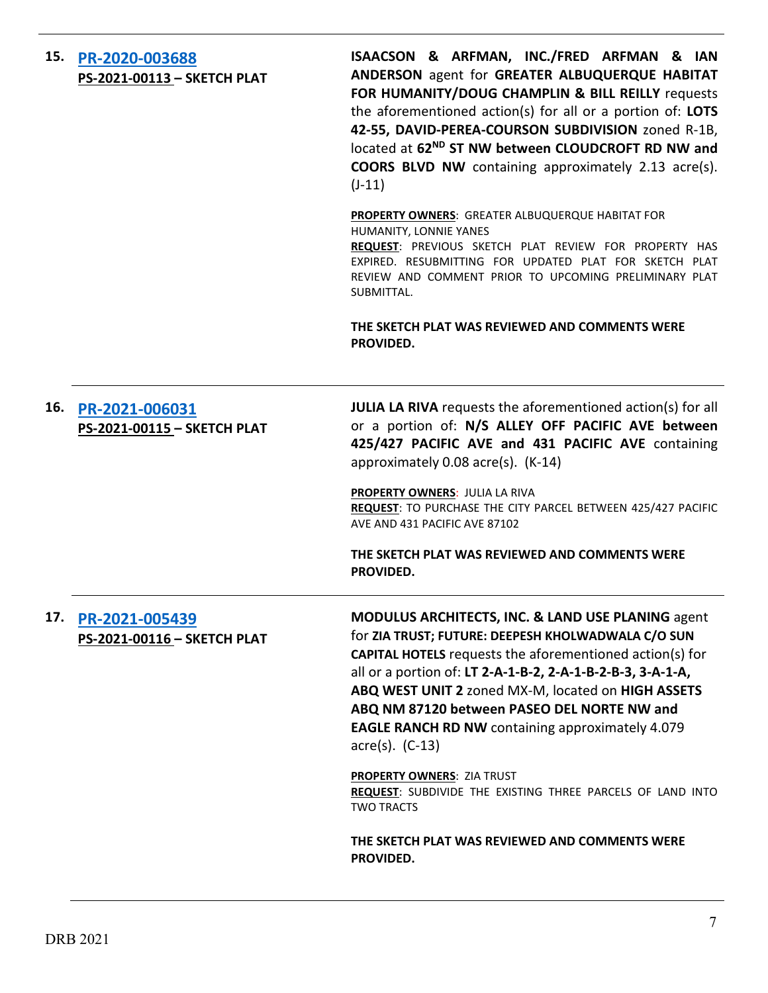|     | 15. PR-2020-003688<br>PS-2021-00113 - SKETCH PLAT | ISAACSON & ARFMAN, INC./FRED ARFMAN & IAN<br>ANDERSON agent for GREATER ALBUQUERQUE HABITAT<br>FOR HUMANITY/DOUG CHAMPLIN & BILL REILLY requests<br>the aforementioned action(s) for all or a portion of: LOTS<br>42-55, DAVID-PEREA-COURSON SUBDIVISION zoned R-1B,<br>located at 62 <sup>ND</sup> ST NW between CLOUDCROFT RD NW and<br><b>COORS BLVD NW</b> containing approximately 2.13 acre(s).<br>$(J-11)$                                                                                                                                                                                                     |
|-----|---------------------------------------------------|-----------------------------------------------------------------------------------------------------------------------------------------------------------------------------------------------------------------------------------------------------------------------------------------------------------------------------------------------------------------------------------------------------------------------------------------------------------------------------------------------------------------------------------------------------------------------------------------------------------------------|
|     |                                                   | <b>PROPERTY OWNERS:</b> GREATER ALBUQUERQUE HABITAT FOR<br>HUMANITY, LONNIE YANES<br>REQUEST: PREVIOUS SKETCH PLAT REVIEW FOR PROPERTY HAS<br>EXPIRED. RESUBMITTING FOR UPDATED PLAT FOR SKETCH PLAT<br>REVIEW AND COMMENT PRIOR TO UPCOMING PRELIMINARY PLAT<br>SUBMITTAL.                                                                                                                                                                                                                                                                                                                                           |
|     |                                                   | THE SKETCH PLAT WAS REVIEWED AND COMMENTS WERE<br>PROVIDED.                                                                                                                                                                                                                                                                                                                                                                                                                                                                                                                                                           |
| 16. | PR-2021-006031<br>PS-2021-00115 - SKETCH PLAT     | <b>JULIA LA RIVA</b> requests the aforementioned action(s) for all<br>or a portion of: N/S ALLEY OFF PACIFIC AVE between<br>425/427 PACIFIC AVE and 431 PACIFIC AVE containing<br>approximately 0.08 acre(s). (K-14)<br>PROPERTY OWNERS: JULIA LA RIVA<br>REQUEST: TO PURCHASE THE CITY PARCEL BETWEEN 425/427 PACIFIC                                                                                                                                                                                                                                                                                                |
|     |                                                   | AVE AND 431 PACIFIC AVE 87102<br>THE SKETCH PLAT WAS REVIEWED AND COMMENTS WERE<br>PROVIDED.                                                                                                                                                                                                                                                                                                                                                                                                                                                                                                                          |
| 17. | PR-2021-005439<br>PS-2021-00116 - SKETCH PLAT     | <b>MODULUS ARCHITECTS, INC. &amp; LAND USE PLANING agent</b><br>for ZIA TRUST; FUTURE: DEEPESH KHOLWADWALA C/O SUN<br><b>CAPITAL HOTELS</b> requests the aforementioned action(s) for<br>all or a portion of: LT 2-A-1-B-2, 2-A-1-B-2-B-3, 3-A-1-A,<br>ABQ WEST UNIT 2 zoned MX-M, located on HIGH ASSETS<br>ABQ NM 87120 between PASEO DEL NORTE NW and<br><b>EAGLE RANCH RD NW containing approximately 4.079</b><br>$\arccos 0$ . (C-13)<br><b>PROPERTY OWNERS: ZIA TRUST</b><br>REQUEST: SUBDIVIDE THE EXISTING THREE PARCELS OF LAND INTO<br><b>TWO TRACTS</b><br>THE SKETCH PLAT WAS REVIEWED AND COMMENTS WERE |
|     |                                                   | PROVIDED.                                                                                                                                                                                                                                                                                                                                                                                                                                                                                                                                                                                                             |